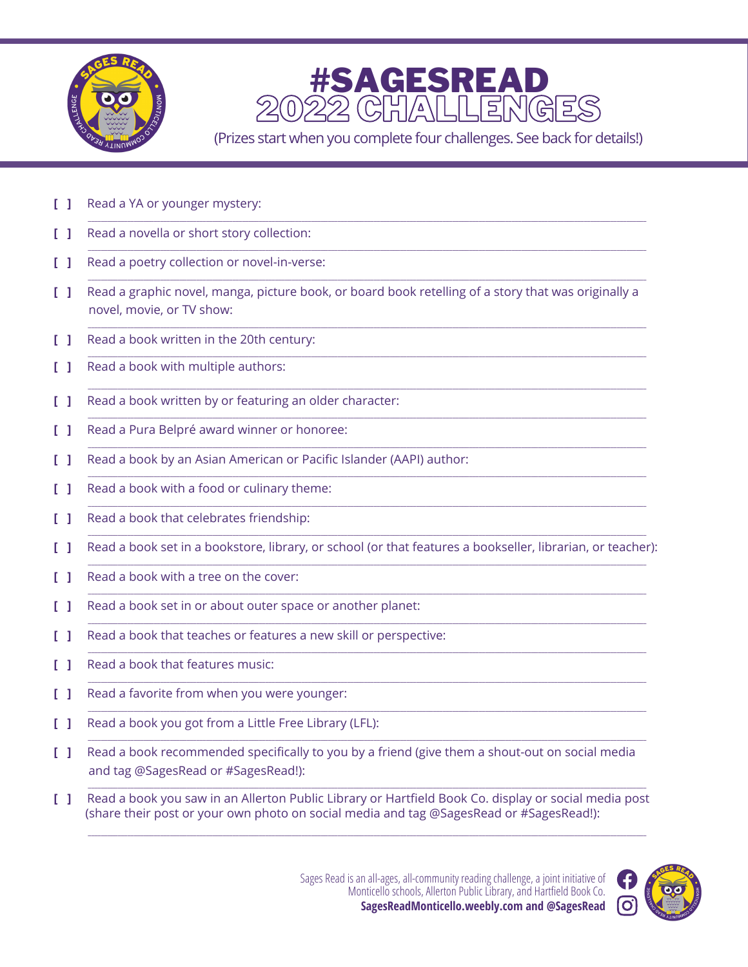



(Prizes start when you complete four challenges. See back for details!)

- $\mathsf{L}$ Read a YA or younger mystery:
- $\mathsf{F}$ Read a novella or short story collection:
- Read a poetry collection or novel-in-verse:  $\Box$
- $\mathbf{L}$ Read a graphic novel, manga, picture book, or board book retelling of a story that was originally a novel, movie, or TV show:
- $\mathbf{L}$ Read a book written in the 20th century:
- Read a book with multiple authors: L. L.
- $\mathsf{F}$ Read a book written by or featuring an older character:
- Read a Pura Belpré award winner or honoree:  $\Box$
- $\mathbf{L}$ Read a book by an Asian American or Pacific Islander (AAPI) author:
- $\mathsf{F}$ Read a book with a food or culinary theme:
- L 1. Read a book that celebrates friendship:
- $\mathbf{L}$ Read a book set in a bookstore, library, or school (or that features a bookseller, librarian, or teacher):
- $\mathsf{F}(\mathsf{L})$ Read a book with a tree on the cover:
- Read a book set in or about outer space or another planet: L 1.
- $\mathsf{F}$ Read a book that teaches or features a new skill or perspective:
- $\mathsf{F}(\mathsf{L})$ Read a book that features music:
- Read a favorite from when you were younger:  $\mathsf{F}$
- $\mathsf{L}$ Read a book you got from a Little Free Library (LFL):
- [ 1 Read a book recommended specifically to you by a friend (give them a shout-out on social media and tag @SagesRead or #SagesRead!):
- Read a book you saw in an Allerton Public Library or Hartfield Book Co. display or social media post  $\mathbf{L}$ (share their post or your own photo on social media and tag @SagesRead or #SagesRead!):